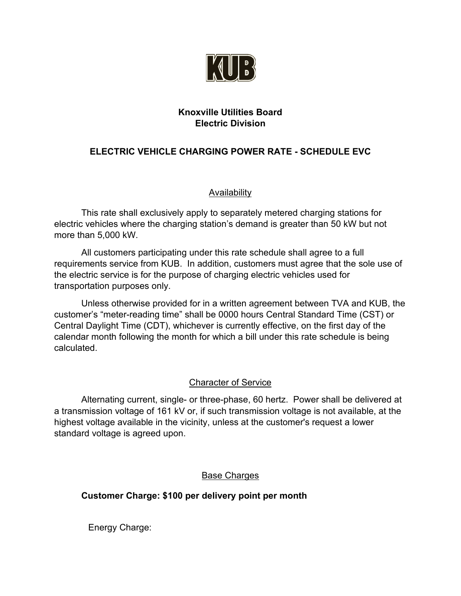

## **Knoxville Utilities Board Electric Division**

## **ELECTRIC VEHICLE CHARGING POWER RATE - SCHEDULE EVC**

#### Availability

This rate shall exclusively apply to separately metered charging stations for electric vehicles where the charging station's demand is greater than 50 kW but not more than 5,000 kW.

All customers participating under this rate schedule shall agree to a full requirements service from KUB. In addition, customers must agree that the sole use of the electric service is for the purpose of charging electric vehicles used for transportation purposes only.

Unless otherwise provided for in a written agreement between TVA and KUB, the customer's "meter-reading time" shall be 0000 hours Central Standard Time (CST) or Central Daylight Time (CDT), whichever is currently effective, on the first day of the calendar month following the month for which a bill under this rate schedule is being calculated.

### Character of Service

Alternating current, single- or three-phase, 60 hertz. Power shall be delivered at a transmission voltage of 161 kV or, if such transmission voltage is not available, at the highest voltage available in the vicinity, unless at the customer's request a lower standard voltage is agreed upon.

### Base Charges

# **Customer Charge: \$100 per delivery point per month**

Energy Charge: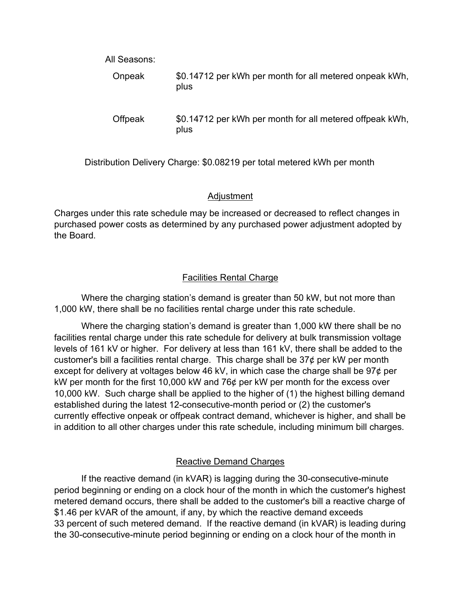| All Seasons:   |                                                                  |
|----------------|------------------------------------------------------------------|
| <b>Onpeak</b>  | \$0.14712 per kWh per month for all metered onpeak kWh,<br>plus  |
| <b>Offpeak</b> | \$0.14712 per kWh per month for all metered offpeak kWh,<br>plus |

Distribution Delivery Charge: \$0.08219 per total metered kWh per month

#### Adjustment

Charges under this rate schedule may be increased or decreased to reflect changes in purchased power costs as determined by any purchased power adjustment adopted by the Board.

### Facilities Rental Charge

Where the charging station's demand is greater than 50 kW, but not more than 1,000 kW, there shall be no facilities rental charge under this rate schedule.

Where the charging station's demand is greater than 1,000 kW there shall be no facilities rental charge under this rate schedule for delivery at bulk transmission voltage levels of 161 kV or higher. For delivery at less than 161 kV, there shall be added to the customer's bill a facilities rental charge. This charge shall be  $37¢$  per kW per month except for delivery at voltages below 46 kV, in which case the charge shall be  $97¢$  per kW per month for the first 10,000 kW and 76¢ per kW per month for the excess over 10,000 kW. Such charge shall be applied to the higher of (1) the highest billing demand established during the latest 12-consecutive-month period or (2) the customer's currently effective onpeak or offpeak contract demand, whichever is higher, and shall be in addition to all other charges under this rate schedule, including minimum bill charges.

# Reactive Demand Charges

If the reactive demand (in kVAR) is lagging during the 30-consecutive-minute period beginning or ending on a clock hour of the month in which the customer's highest metered demand occurs, there shall be added to the customer's bill a reactive charge of \$1.46 per kVAR of the amount, if any, by which the reactive demand exceeds 33 percent of such metered demand. If the reactive demand (in kVAR) is leading during the 30-consecutive-minute period beginning or ending on a clock hour of the month in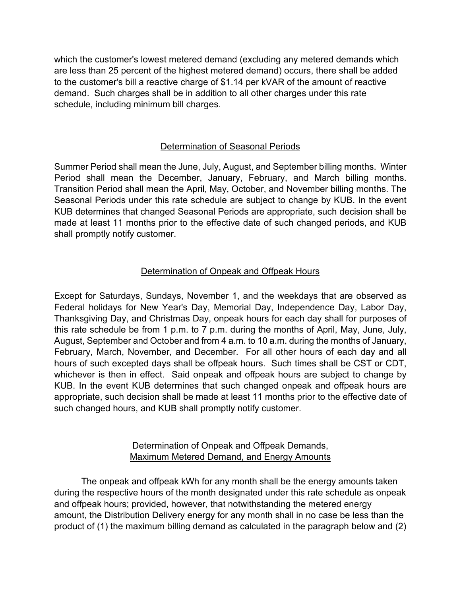which the customer's lowest metered demand (excluding any metered demands which are less than 25 percent of the highest metered demand) occurs, there shall be added to the customer's bill a reactive charge of \$1.14 per kVAR of the amount of reactive demand. Such charges shall be in addition to all other charges under this rate schedule, including minimum bill charges.

## Determination of Seasonal Periods

Summer Period shall mean the June, July, August, and September billing months. Winter Period shall mean the December, January, February, and March billing months. Transition Period shall mean the April, May, October, and November billing months. The Seasonal Periods under this rate schedule are subject to change by KUB. In the event KUB determines that changed Seasonal Periods are appropriate, such decision shall be made at least 11 months prior to the effective date of such changed periods, and KUB shall promptly notify customer.

### Determination of Onpeak and Offpeak Hours

Except for Saturdays, Sundays, November 1, and the weekdays that are observed as Federal holidays for New Year's Day, Memorial Day, Independence Day, Labor Day, Thanksgiving Day, and Christmas Day, onpeak hours for each day shall for purposes of this rate schedule be from 1 p.m. to 7 p.m. during the months of April, May, June, July, August, September and October and from 4 a.m. to 10 a.m. during the months of January, February, March, November, and December. For all other hours of each day and all hours of such excepted days shall be offpeak hours. Such times shall be CST or CDT, whichever is then in effect. Said onpeak and offpeak hours are subject to change by KUB. In the event KUB determines that such changed onpeak and offpeak hours are appropriate, such decision shall be made at least 11 months prior to the effective date of such changed hours, and KUB shall promptly notify customer.

### Determination of Onpeak and Offpeak Demands, Maximum Metered Demand, and Energy Amounts

The onpeak and offpeak kWh for any month shall be the energy amounts taken during the respective hours of the month designated under this rate schedule as onpeak and offpeak hours; provided, however, that notwithstanding the metered energy amount, the Distribution Delivery energy for any month shall in no case be less than the product of (1) the maximum billing demand as calculated in the paragraph below and (2)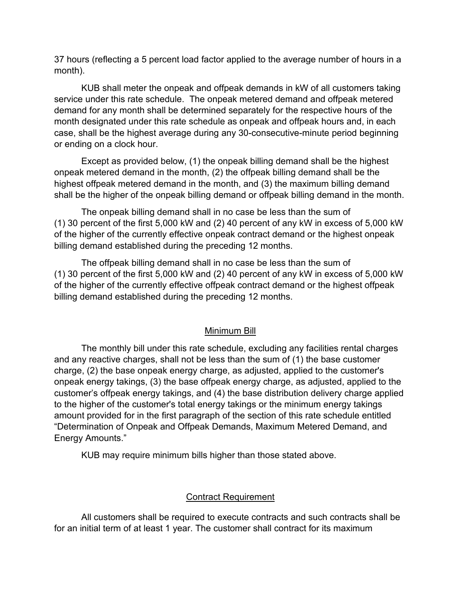37 hours (reflecting a 5 percent load factor applied to the average number of hours in a month).

KUB shall meter the onpeak and offpeak demands in kW of all customers taking service under this rate schedule. The onpeak metered demand and offpeak metered demand for any month shall be determined separately for the respective hours of the month designated under this rate schedule as onpeak and offpeak hours and, in each case, shall be the highest average during any 30-consecutive-minute period beginning or ending on a clock hour.

Except as provided below, (1) the onpeak billing demand shall be the highest onpeak metered demand in the month, (2) the offpeak billing demand shall be the highest offpeak metered demand in the month, and (3) the maximum billing demand shall be the higher of the onpeak billing demand or offpeak billing demand in the month.

The onpeak billing demand shall in no case be less than the sum of (1) 30 percent of the first 5,000 kW and (2) 40 percent of any kW in excess of 5,000 kW of the higher of the currently effective onpeak contract demand or the highest onpeak billing demand established during the preceding 12 months.

The offpeak billing demand shall in no case be less than the sum of (1) 30 percent of the first 5,000 kW and (2) 40 percent of any kW in excess of 5,000 kW of the higher of the currently effective offpeak contract demand or the highest offpeak billing demand established during the preceding 12 months.

#### Minimum Bill

The monthly bill under this rate schedule, excluding any facilities rental charges and any reactive charges, shall not be less than the sum of (1) the base customer charge, (2) the base onpeak energy charge, as adjusted, applied to the customer's onpeak energy takings, (3) the base offpeak energy charge, as adjusted, applied to the customer's offpeak energy takings, and (4) the base distribution delivery charge applied to the higher of the customer's total energy takings or the minimum energy takings amount provided for in the first paragraph of the section of this rate schedule entitled "Determination of Onpeak and Offpeak Demands, Maximum Metered Demand, and Energy Amounts."

KUB may require minimum bills higher than those stated above.

### Contract Requirement

All customers shall be required to execute contracts and such contracts shall be for an initial term of at least 1 year. The customer shall contract for its maximum